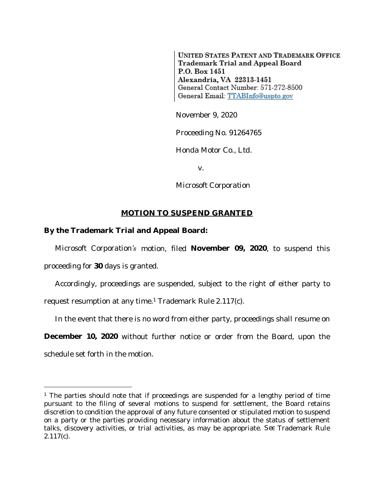**UNITED STATES PATENT AND TRADEMARK OFFICE** Trademark Trial and Appeal Board P.O. Box 1451 Alexandria, VA 22313-1451 General Contact Number: 571-272-8500 General Email: TTABInfo@uspto.gov

November 9, 2020

Proceeding No. 91264765

*Honda Motor Co., Ltd.*

v.

*Microsoft Corporation*

## **MOTION TO SUSPEND GRANTED**

## **By the Trademark Trial and Appeal Board:**

*Microsoft Corporation's* motion, filed **November 09, 2020**, to suspend this proceeding for **30** days is granted.

Accordingly, proceedings are suspended, subject to the right of either party to request resumption at any time.<sup>1</sup> Trademark Rule 2.117(c).

In the event that there is no word from either party, proceedings shall resume on

**December 10, 2020** without further notice or order from the Board, upon the schedule set forth in the motion.

<sup>&</sup>lt;sup>1</sup> The parties should note that if proceedings are suspended for a lengthy period of time pursuant to the filing of several motions to suspend for settlement, the Board retains discretion to condition the approval of any future consented or stipulated motion to suspend on a party or the parties providing necessary information about the status of settlement talks, discovery activities, or trial activities, as may be appropriate. *See* Trademark Rule 2.117(c).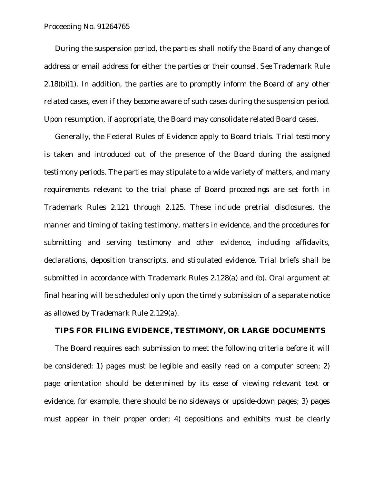## Proceeding No. 91264765

During the suspension period, the parties shall notify the Board of any change of address or email address for either the parties or their counsel. *See* Trademark Rule  $2.18(b)(1)$ . In addition, the parties are to promptly inform the Board of any other related cases, even if they become aware of such cases during the suspension period. Upon resumption, if appropriate, the Board may consolidate related Board cases.

Generally, the Federal Rules of Evidence apply to Board trials. Trial testimony is taken and introduced out of the presence of the Board during the assigned testimony periods. The parties may stipulate to a wide variety of matters, and many requirements relevant to the trial phase of Board proceedings are set forth in Trademark Rules 2.121 through 2.125. These include pretrial disclosures, the manner and timing of taking testimony, matters in evidence, and the procedures for submitting and serving testimony and other evidence, including affidavits, declarations, deposition transcripts, and stipulated evidence. Trial briefs shall be submitted in accordance with Trademark Rules 2.128(a) and (b). Oral argument at final hearing will be scheduled only upon the timely submission of a separate notice as allowed by Trademark Rule 2.129(a).

## **TIPS FOR FILING EVIDENCE, TESTIMONY, OR LARGE DOCUMENTS**

The Board requires each submission to meet the following criteria before it will be considered: 1) pages must be legible and easily read on a computer screen; 2) page orientation should be determined by its ease of viewing relevant text or evidence, for example, there should be no sideways or upside-down pages; 3) pages must appear in their proper order; 4) depositions and exhibits must be clearly